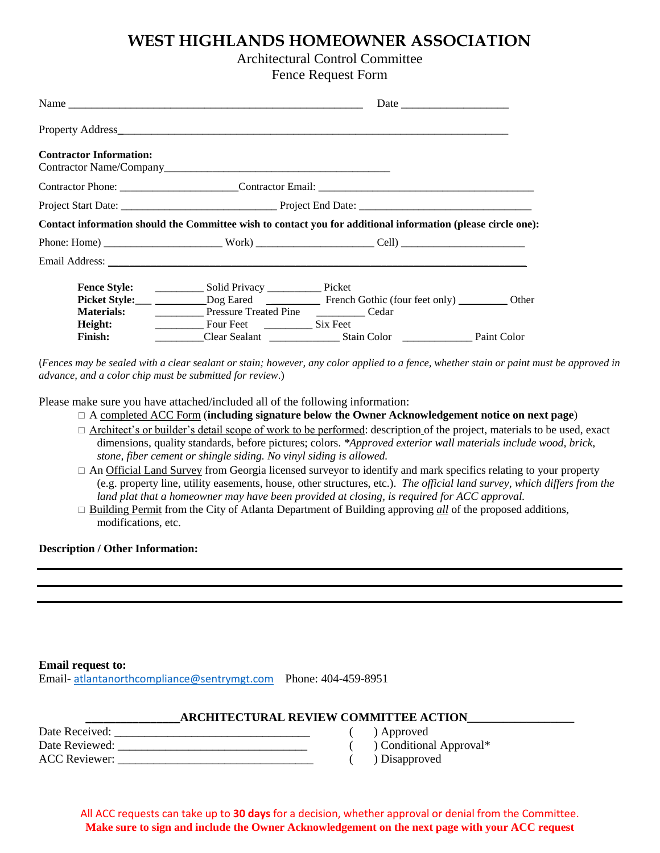## **WEST HIGHLANDS HOMEOWNER ASSOCIATION**

## Architectural Control Committee

Fence Request Form

| <b>Contractor Information:</b> |                                       |                                                                                                              |  |
|--------------------------------|---------------------------------------|--------------------------------------------------------------------------------------------------------------|--|
|                                |                                       |                                                                                                              |  |
|                                |                                       |                                                                                                              |  |
|                                |                                       | Contact information should the Committee wish to contact you for additional information (please circle one): |  |
|                                |                                       |                                                                                                              |  |
|                                |                                       |                                                                                                              |  |
| <b>Fence Style:</b>            |                                       |                                                                                                              |  |
|                                |                                       | Picket Style: Dog Eared  Dog Eared  French Gothic (four feet only)  Dother                                   |  |
| <b>Materials:</b>              | <b>Pressure Treated Pine Cedar</b>    |                                                                                                              |  |
| Height:                        | Four Feet <u>___________</u> Six Feet |                                                                                                              |  |
| <b>Finish:</b>                 |                                       |                                                                                                              |  |
|                                |                                       |                                                                                                              |  |

(*Fences may be sealed with a clear sealant or stain; however, any color applied to a fence, whether stain or paint must be approved in advance, and a color chip must be submitted for review*.)

Please make sure you have attached/included all of the following information:

- A completed ACC Form (**including signature below the Owner Acknowledgement notice on next page**)
- □ Architect's or builder's detail scope of work to be performed: description of the project, materials to be used, exact dimensions, quality standards, before pictures; colors. *\*Approved exterior wall materials include wood, brick, stone, fiber cement or shingle siding. No vinyl siding is allowed.*
- $\Box$  An Official Land Survey from Georgia licensed surveyor to identify and mark specifics relating to your property (e.g. property line, utility easements, house, other structures, etc.). *The official land survey, which differs from the land plat that a homeowner may have been provided at closing, is required for ACC approval.*
- $\Box$  Building Permit from the City of Atlanta Department of Building approving *all* of the proposed additions, modifications, etc.

### **Description / Other Information:**

#### **Email request to:**

Email- [atlantanorthcompliance@sentrymgt.com](mailto:atlantanorthcompliance@sentrymgt.com) Phone: 404-459-8951

### **\_\_\_\_\_\_\_\_\_\_\_\_\_\_\_\_ARCHITECTURAL REVIEW COMMITTEE ACTION\_\_\_\_\_\_\_\_\_\_\_\_\_\_\_\_\_\_**

| Date Received:       |  |
|----------------------|--|
| Date Reviewed:       |  |
| <b>ACC Reviewer:</b> |  |

- ) Approved
- ( ) Conditional Approval\*
- ) Disapproved

### All ACC requests can take up to **30 days** for a decision, whether approval or denial from the Committee. **Make sure to sign and include the Owner Acknowledgement on the next page with your ACC request**